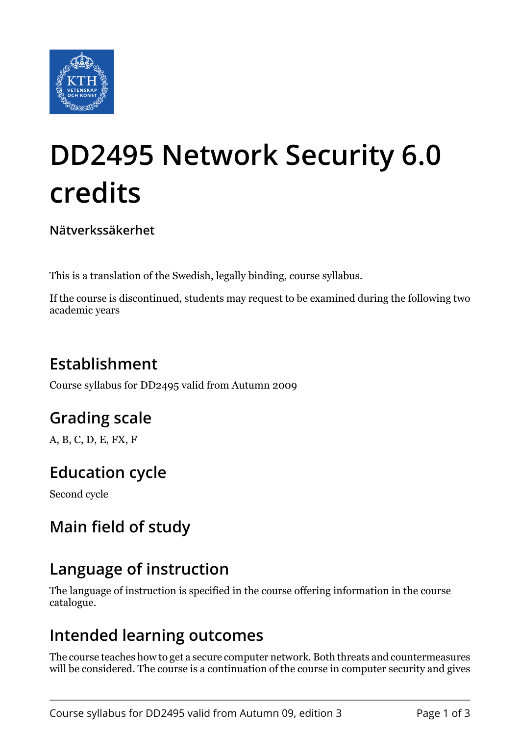

# **DD2495 Network Security 6.0 credits**

**Nätverkssäkerhet**

This is a translation of the Swedish, legally binding, course syllabus.

If the course is discontinued, students may request to be examined during the following two academic years

# **Establishment**

Course syllabus for DD2495 valid from Autumn 2009

# **Grading scale**

A, B, C, D, E, FX, F

# **Education cycle**

Second cycle

# **Main field of study**

## **Language of instruction**

The language of instruction is specified in the course offering information in the course catalogue.

## **Intended learning outcomes**

The course teaches how to get a secure computer network. Both threats and countermeasures will be considered. The course is a continuation of the course in computer security and gives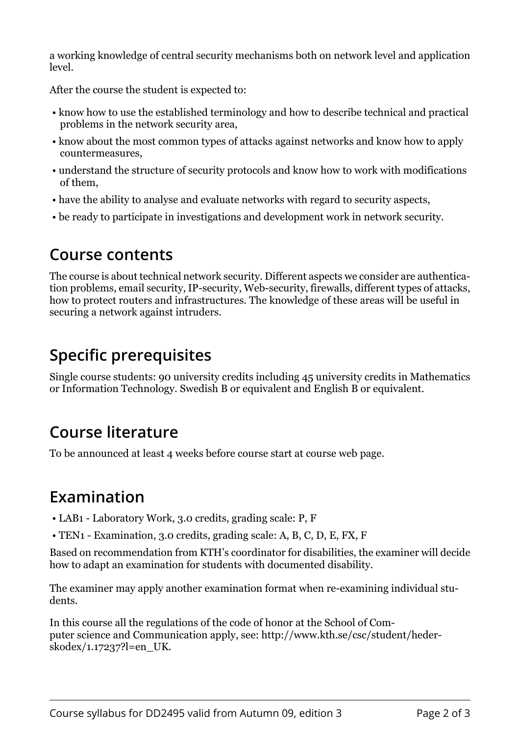a working knowledge of central security mechanisms both on network level and application level.

After the course the student is expected to:

- know how to use the established terminology and how to describe technical and practical problems in the network security area,
- know about the most common types of attacks against networks and know how to apply countermeasures,
- understand the structure of security protocols and know how to work with modifications of them,
- have the ability to analyse and evaluate networks with regard to security aspects,
- be ready to participate in investigations and development work in network security.

#### **Course contents**

The course is about technical network security. Different aspects we consider are authentication problems, email security, IP-security, Web-security, firewalls, different types of attacks, how to protect routers and infrastructures. The knowledge of these areas will be useful in securing a network against intruders.

## **Specific prerequisites**

Single course students: 90 university credits including 45 university credits in Mathematics or Information Technology. Swedish B or equivalent and English B or equivalent.

#### **Course literature**

To be announced at least 4 weeks before course start at course web page.

## **Examination**

- LAB1 Laboratory Work, 3.0 credits, grading scale: P, F
- TEN1 Examination, 3.0 credits, grading scale: A, B, C, D, E, FX, F

Based on recommendation from KTH's coordinator for disabilities, the examiner will decide how to adapt an examination for students with documented disability.

The examiner may apply another examination format when re-examining individual students.

In this course all the regulations of the code of honor at the School of Computer science and Communication apply, see: http://www.kth.se/csc/student/hederskodex/1.17237?l=en\_UK.